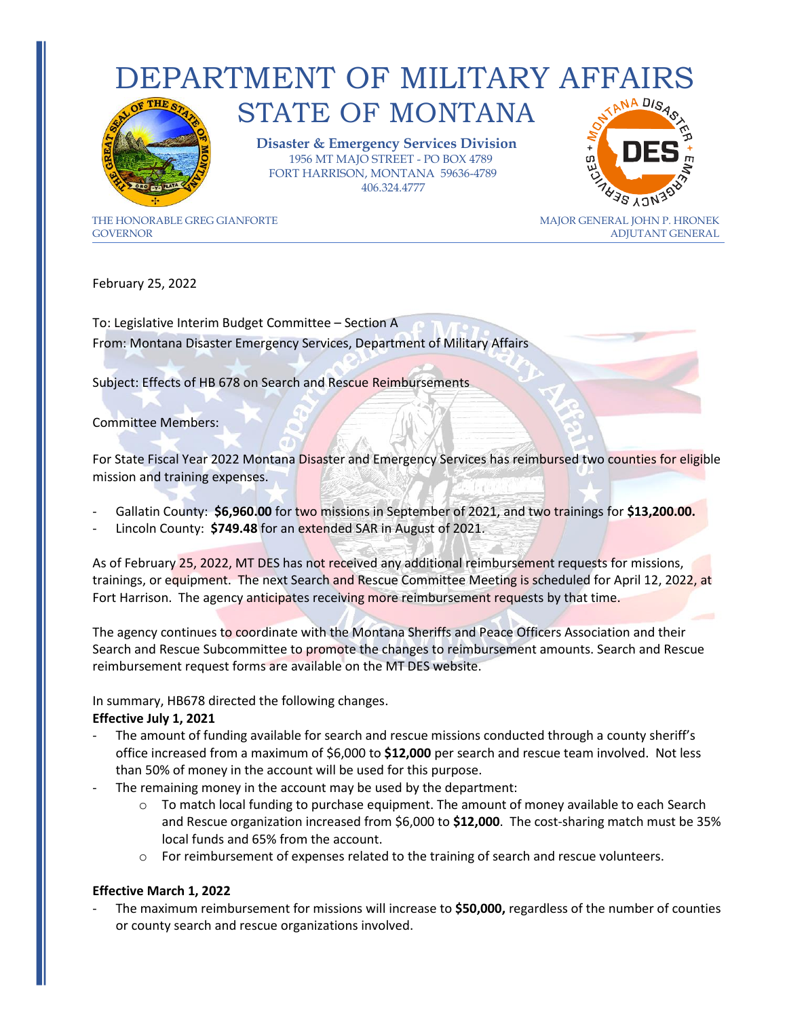## DEPARTMENT OF MILITARY AFFAIRS STATE OF MONTANA



 **Disaster & Emergency Services Division** 1956 MT MAJO STREET - PO BOX 4789 FORT HARRISON, MONTANA 59636-4789 406.324.4777



THE HONORABLE GREG GIANFORTE THE MAJOR GENERAL JOHN P. HRONEK GOVERNORADJUTANT GENERAL

February 25, 2022

To: Legislative Interim Budget Committee – Section A From: Montana Disaster Emergency Services, Department of Military Affairs

Subject: Effects of HB 678 on Search and Rescue Reimbursements

Committee Members:

For State Fiscal Year 2022 Montana Disaster and Emergency Services has reimbursed two counties for eligible mission and training expenses.

- Gallatin County: **\$6,960.00** for two missions in September of 2021, and two trainings for **\$13,200.00.**
- Lincoln County: **\$749.48** for an extended SAR in August of 2021.

As of February 25, 2022, MT DES has not received any additional reimbursement requests for missions, trainings, or equipment. The next Search and Rescue Committee Meeting is scheduled for April 12, 2022, at Fort Harrison. The agency anticipates receiving more reimbursement requests by that time.

The agency continues to coordinate with the Montana Sheriffs and Peace Officers Association and their Search and Rescue Subcommittee to promote the changes to reimbursement amounts. Search and Rescue reimbursement request forms are available on the MT DES website.

In summary, HB678 directed the following changes.

## **Effective July 1, 2021**

- The amount of funding available for search and rescue missions conducted through a county sheriff's office increased from a maximum of \$6,000 to **\$12,000** per search and rescue team involved. Not less than 50% of money in the account will be used for this purpose.
- The remaining money in the account may be used by the department:
	- $\circ$  To match local funding to purchase equipment. The amount of money available to each Search and Rescue organization increased from \$6,000 to **\$12,000**. The cost-sharing match must be 35% local funds and 65% from the account.
	- $\circ$  For reimbursement of expenses related to the training of search and rescue volunteers.

## **Effective March 1, 2022**

- The maximum reimbursement for missions will increase to **\$50,000,** regardless of the number of counties or county search and rescue organizations involved.